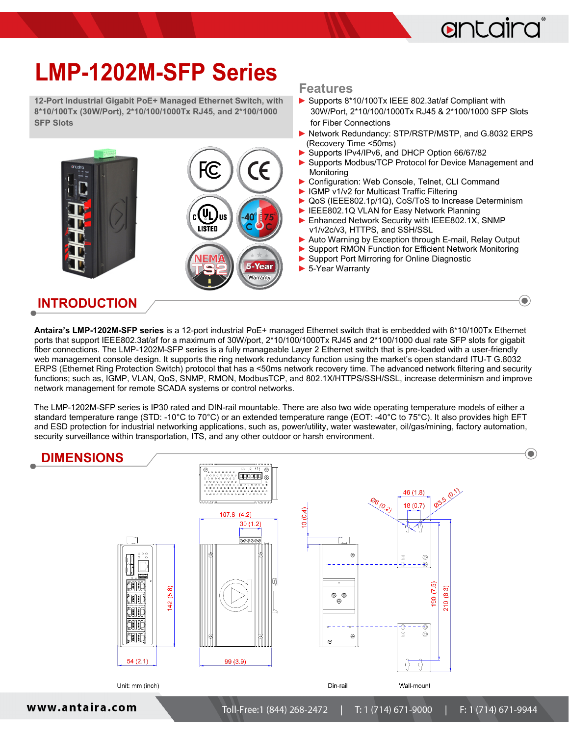## antaira

 $\bigodot$ 

# **LMP-1202M-SFP Series**

**12-Port Industrial Gigabit PoE+ Managed Ethernet Switch, with 8\*10/100Tx (30W/Port), 2\*10/100/1000Tx RJ45, and 2\*100/1000 SFP Slots**



#### **Features**

- ► Supports 8\*10/100Tx IEEE 802.3at/af Compliant with 30W/Port, 2\*10/100/1000Tx RJ45 & 2\*100/1000 SFP Slots for Fiber Connections
- ► Network Redundancy: STP/RSTP/MSTP, and G.8032 ERPS (Recovery Time <50ms)
- Supports IPv4/IPv6, and DHCP Option 66/67/82
- ▶ Supports Modbus/TCP Protocol for Device Management and Monitoring
- Configuration: Web Console, Telnet, CLI Command
- ► IGMP v1/v2 for Multicast Traffic Filtering
- ► QoS (IEEE802.1p/1Q), CoS/ToS to Increase Determinism
- IEEE802.1Q VLAN for Easy Network Planning
- ▶ Enhanced Network Security with IEEE802.1X, SNMP v1/v2c/v3, HTTPS, and SSH/SSL
- Auto Warning by Exception through E-mail, Relay Output
- **►** Support RMON Function for Efficient Network Monitoring
- **►** Support Port Mirroring for Online Diagnostic
- ► 5-Year Warranty

#### **INTRODUCTION**

**Antaira's LMP-1202M-SFP series** is a 12-port industrial PoE+ managed Ethernet switch that is embedded with 8\*10/100Tx Ethernet ports that support IEEE802.3at/af for a maximum of 30W/port, 2\*10/100/1000Tx RJ45 and 2\*100/1000 dual rate SFP slots for gigabit fiber connections. The LMP-1202M-SFP series is a fully manageable Layer 2 Ethernet switch that is pre-loaded with a user-friendly web management console design. It supports the ring network redundancy function using the market's open standard ITU-T G.8032 ERPS (Ethernet Ring Protection Switch) protocol that has a <50ms network recovery time. The advanced network filtering and security functions; such as, IGMP, VLAN, QoS, SNMP, RMON, ModbusTCP, and 802.1X/HTTPS/SSH/SSL, increase determinism and improve network management for remote SCADA systems or control networks.

The LMP-1202M-SFP series is IP30 rated and DIN-rail mountable. There are also two wide operating temperature models of either a standard temperature range (STD: -10°C to 70°C) or an extended temperature range (EOT: -40°C to 75°C). It also provides high EFT and ESD protection for industrial networking applications, such as, power/utility, water wastewater, oil/gas/mining, factory automation, security surveillance within transportation, ITS, and any other outdoor or harsh environment.